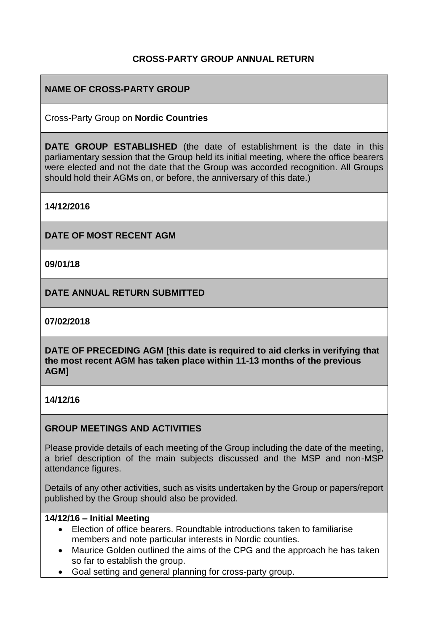## **CROSS-PARTY GROUP ANNUAL RETURN**

## **NAME OF CROSS-PARTY GROUP**

Cross-Party Group on **Nordic Countries**

**DATE GROUP ESTABLISHED** (the date of establishment is the date in this parliamentary session that the Group held its initial meeting, where the office bearers were elected and not the date that the Group was accorded recognition. All Groups should hold their AGMs on, or before, the anniversary of this date.)

**14/12/2016**

**DATE OF MOST RECENT AGM**

**09/01/18**

**DATE ANNUAL RETURN SUBMITTED**

**07/02/2018**

**DATE OF PRECEDING AGM [this date is required to aid clerks in verifying that the most recent AGM has taken place within 11-13 months of the previous AGM]**

**14/12/16**

### **GROUP MEETINGS AND ACTIVITIES**

Please provide details of each meeting of the Group including the date of the meeting, a brief description of the main subjects discussed and the MSP and non-MSP attendance figures.

Details of any other activities, such as visits undertaken by the Group or papers/report published by the Group should also be provided.

### **14/12/16 – Initial Meeting**

- Election of office bearers. Roundtable introductions taken to familiarise members and note particular interests in Nordic counties.
- Maurice Golden outlined the aims of the CPG and the approach he has taken so far to establish the group.
- Goal setting and general planning for cross-party group.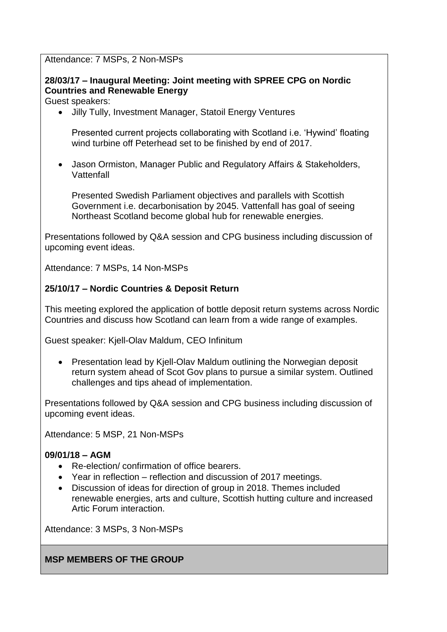Attendance: 7 MSPs, 2 Non-MSPs

# **28/03/17 – Inaugural Meeting: Joint meeting with SPREE CPG on Nordic Countries and Renewable Energy**

Guest speakers:

Jilly Tully, Investment Manager, Statoil Energy Ventures

Presented current projects collaborating with Scotland i.e. 'Hywind' floating wind turbine off Peterhead set to be finished by end of 2017.

 Jason Ormiston, Manager Public and Regulatory Affairs & Stakeholders, **Vattenfall** 

Presented Swedish Parliament objectives and parallels with Scottish Government i.e. decarbonisation by 2045. Vattenfall has goal of seeing Northeast Scotland become global hub for renewable energies.

Presentations followed by Q&A session and CPG business including discussion of upcoming event ideas.

Attendance: 7 MSPs, 14 Non-MSPs

# **25/10/17 – Nordic Countries & Deposit Return**

This meeting explored the application of bottle deposit return systems across Nordic Countries and discuss how Scotland can learn from a wide range of examples.

Guest speaker: Kjell-Olav Maldum, CEO Infinitum

• Presentation lead by Kjell-Olav Maldum outlining the Norwegian deposit return system ahead of Scot Gov plans to pursue a similar system. Outlined challenges and tips ahead of implementation.

Presentations followed by Q&A session and CPG business including discussion of upcoming event ideas.

Attendance: 5 MSP, 21 Non-MSPs

### **09/01/18 – AGM**

- Re-election/ confirmation of office bearers.
- Year in reflection reflection and discussion of 2017 meetings.
- Discussion of ideas for direction of group in 2018. Themes included renewable energies, arts and culture, Scottish hutting culture and increased Artic Forum interaction.

Attendance: 3 MSPs, 3 Non-MSPs

**MSP MEMBERS OF THE GROUP**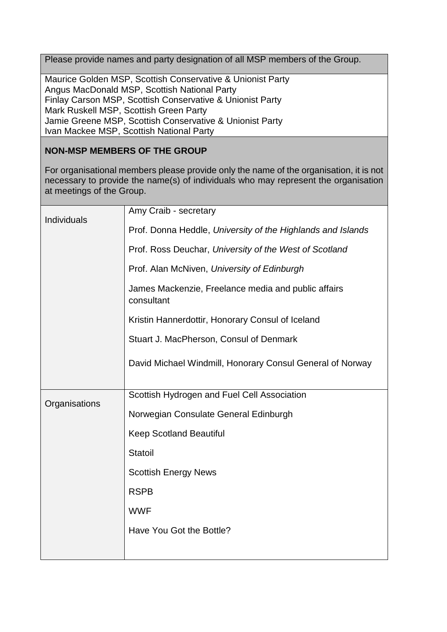Please provide names and party designation of all MSP members of the Group.

Maurice Golden MSP, Scottish Conservative & Unionist Party Angus MacDonald MSP, Scottish National Party Finlay Carson MSP, Scottish Conservative & Unionist Party Mark Ruskell MSP, Scottish Green Party Jamie Greene MSP, Scottish Conservative & Unionist Party Ivan Mackee MSP, Scottish National Party

## **NON-MSP MEMBERS OF THE GROUP**

For organisational members please provide only the name of the organisation, it is not necessary to provide the name(s) of individuals who may represent the organisation at meetings of the Group.

| <b>Individuals</b> | Amy Craib - secretary                                             |
|--------------------|-------------------------------------------------------------------|
|                    | Prof. Donna Heddle, University of the Highlands and Islands       |
|                    | Prof. Ross Deuchar, University of the West of Scotland            |
|                    | Prof. Alan McNiven, University of Edinburgh                       |
|                    | James Mackenzie, Freelance media and public affairs<br>consultant |
|                    | Kristin Hannerdottir, Honorary Consul of Iceland                  |
|                    | Stuart J. MacPherson, Consul of Denmark                           |
|                    | David Michael Windmill, Honorary Consul General of Norway         |
| Organisations      | Scottish Hydrogen and Fuel Cell Association                       |
|                    | Norwegian Consulate General Edinburgh                             |
|                    | <b>Keep Scotland Beautiful</b>                                    |
|                    | Statoil                                                           |
|                    | <b>Scottish Energy News</b>                                       |
|                    | <b>RSPB</b>                                                       |
|                    | <b>WWF</b>                                                        |
|                    | Have You Got the Bottle?                                          |
|                    |                                                                   |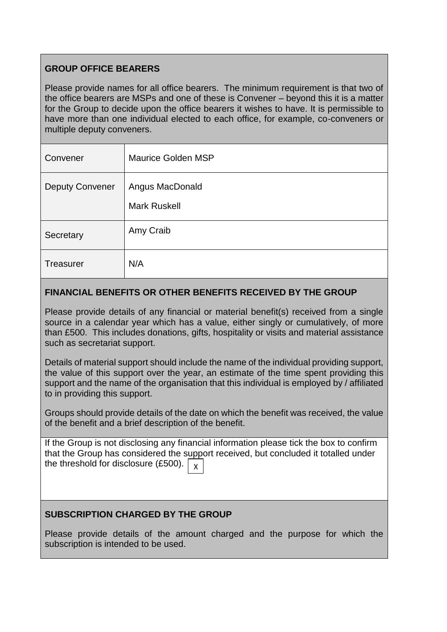# **GROUP OFFICE BEARERS**

Please provide names for all office bearers. The minimum requirement is that two of the office bearers are MSPs and one of these is Convener – beyond this it is a matter for the Group to decide upon the office bearers it wishes to have. It is permissible to have more than one individual elected to each office, for example, co-conveners or multiple deputy conveners.

| Convener               | <b>Maurice Golden MSP</b>              |
|------------------------|----------------------------------------|
| <b>Deputy Convener</b> | Angus MacDonald<br><b>Mark Ruskell</b> |
| Secretary              | Amy Craib                              |
| <b>Treasurer</b>       | N/A                                    |

## **FINANCIAL BENEFITS OR OTHER BENEFITS RECEIVED BY THE GROUP**

Please provide details of any financial or material benefit(s) received from a single source in a calendar year which has a value, either singly or cumulatively, of more than £500. This includes donations, gifts, hospitality or visits and material assistance such as secretariat support.

Details of material support should include the name of the individual providing support, the value of this support over the year, an estimate of the time spent providing this support and the name of the organisation that this individual is employed by / affiliated to in providing this support.

Groups should provide details of the date on which the benefit was received, the value of the benefit and a brief description of the benefit.

If the Group is not disclosing any financial information please tick the box to confirm that the Group has considered the support received, but concluded it totalled under the threshold for disclosure (£500).  $\big\vert$   $\times$ 

# **SUBSCRIPTION CHARGED BY THE GROUP**

Please provide details of the amount charged and the purpose for which the subscription is intended to be used.